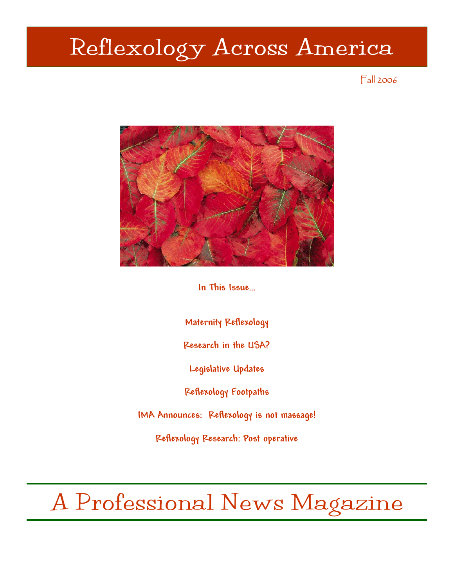# Reflexology Across America

## Fall 2006



**In This Issue…** 

**Maternity Reflexology** 

**Research in the USA?** 

**Legislative Updates** 

**Reflexology Footpaths** 

**IMA Announces: Reflexology is not massage!** 

**Reflexology Research: Post operative** 

A Professional News Magazine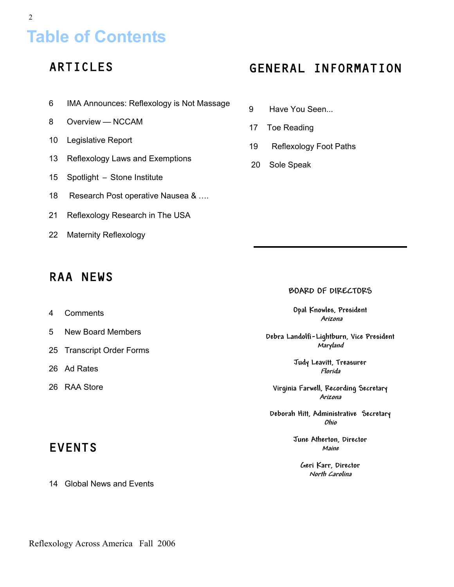# **Table of Contents**

# ARTICLES

- 6 IMA Announces: Reflexology is Not Massage
- 8 Overview NCCAM
- 10 Legislative Report
- 13 Reflexology Laws and Exemptions
- 15 Spotlight Stone Institute
- 18 Research Post operative Nausea & ....
- 21 Reflexology Research in The USA
- 22 Maternity Reflexology

## RAA NEWS

- 4 Comments
- 5 New Board Members
- 25 Transcript Order Forms
- 26 Ad Rates
- 26 RAA Store

# EVENTS

14 Global News and Events

## GENERAL INFORMATION

- 9 Have You Seen...
- 17 Toe Reading
- 19 Reflexology Foot Paths
- 20 Sole Speak

### **BOARD OF DIRECTORS**

**Opal Knowles, President Arizona** 

**Debra Landolfi-Lightburn, Vice President Maryland** 

> **Judy Leavitt, Treasurer Florida**

**Virginia Farwell, Recording Secretary Arizona** 

**Deborah Hitt, Administrative Secretary Ohio** 

> **June Atherton, Director Maine**

**Geri Karr, Director North Carolina** 

Reflexology Across America Fall 2006

2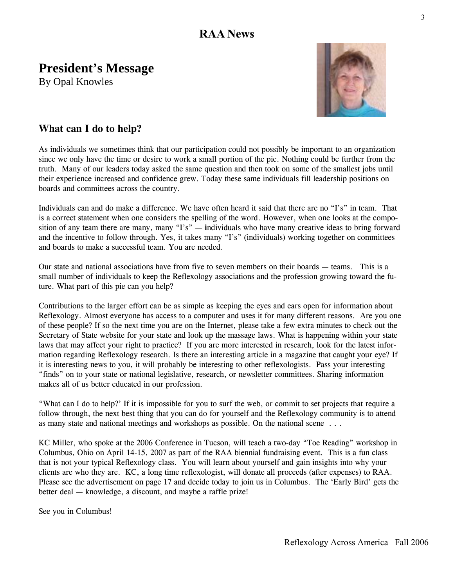## **RAA News**

# **President's Message**

By Opal Knowles



## **What can I do to help?**

As individuals we sometimes think that our participation could not possibly be important to an organization since we only have the time or desire to work a small portion of the pie. Nothing could be further from the truth. Many of our leaders today asked the same question and then took on some of the smallest jobs until their experience increased and confidence grew. Today these same individuals fill leadership positions on boards and committees across the country.

Individuals can and do make a difference. We have often heard it said that there are no "I's" in team. That is a correct statement when one considers the spelling of the word. However, when one looks at the composition of any team there are many, many "I's" — **i**ndividuals who have many creative ideas to bring forward and the incentive to follow through. Yes, it takes many "I's" (individuals) working together on committees and boards to make a successful team. You are needed.

Our state and national associations have from five to seven members on their boards — teams. This is a small number of individuals to keep the Reflexology associations and the profession growing toward the future. What part of this pie can you help?

Contributions to the larger effort can be as simple as keeping the eyes and ears open for information about Reflexology. Almost everyone has access to a computer and uses it for many different reasons. Are you one of these people? If so the next time you are on the Internet, please take a few extra minutes to check out the Secretary of State website for your state and look up the massage laws. What is happening within your state laws that may affect your right to practice? If you are more interested in research, look for the latest information regarding Reflexology research. Is there an interesting article in a magazine that caught your eye? If it is interesting news to you, it will probably be interesting to other reflexologists. Pass your interesting "finds" on to your state or national legislative, research, or newsletter committees. Sharing information makes all of us better educated in our profession.

"What can I do to help?' If it is impossible for you to surf the web, or commit to set projects that require a follow through, the next best thing that you can do for yourself and the Reflexology community is to attend as many state and national meetings and workshops as possible. On the national scene . . .

KC Miller, who spoke at the 2006 Conference in Tucson, will teach a two-day "Toe Reading" workshop in Columbus, Ohio on April 14-15, 2007 as part of the RAA biennial fundraising event. This is a fun class that is not your typical Reflexology class. You will learn about yourself and gain insights into why your clients are who they are. KC, a long time reflexologist, will donate all proceeds (after expenses) to RAA. Please see the advertisement on page 17 and decide today to join us in Columbus. The 'Early Bird' gets the better deal — knowledge, a discount, and maybe a raffle prize!

See you in Columbus!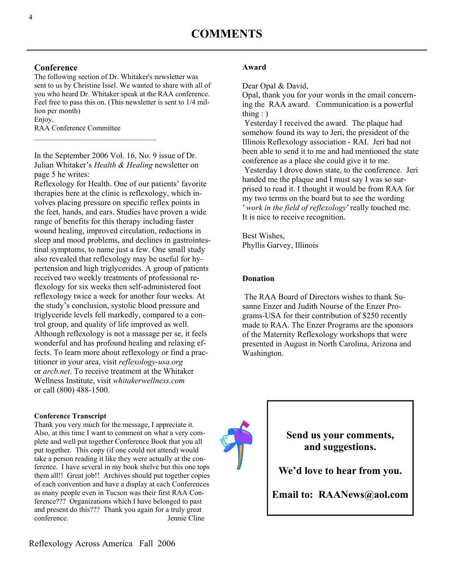## **Conference**

The following section of Dr. Whitaker's newsletter was sent to us by Christine Issel. We wanted to share with all of you who heard Dr. Whitaker speak at the RAA conference. Feel free to pass this on. (This newsletter is sent to 1/4 million per month) Enjoy,

RAA Conference Committee

In the September 2006 Vol. 16, No. 9 issue of Dr. Julian Whitaker's *Health & Healing* newsletter on page 5 he writes:

Reflexology for Health. One of our patients' favorite therapies here at the clinic is reflexology, which involves placing pressure on specific reflex points in the feet, hands, and ears. Studies have proven a wide range of benefits for this therapy including faster wound healing, improved circulation, reductions in sleep and mood problems, and declines in gastrointestinal symptoms, to name just a few. One small study also revealed that reflexology may be useful for hypertension and high triglycerides. A group of patients received two weekly treatments of professional reflexology for six weeks then self-administered foot reflexology twice a week for another four weeks. At the study's conclusion, systolic blood pressure and triglyceride levels fell markedly, compared to a control group, and quality of life improved as well. Although reflexology is not a massage per se, it feels wonderful and has profound healing and relaxing effects. To learn more about reflexology or find a practitioner in your area, visit *reflexology-usa.org* or *arcb.net*. To receive treatment at the Whitaker Wellness Institute, visit *whitakerwellness.com* or call (800) 488-1500.

### **Conference Transcript**

Thank you very much for the message, I appreciate it. Also, at this time I want to comment on what a very complete and well put together Conference Book that you all put together. This copy (if one could not attend) would take a person reading it like they were actually at the conference. I have several in my book shelve but this one tops them all!! Great job!! Archives should put together copies of each convention and have a display at each Conferences as many people even in Tucson was their first RAA Conference??? Organizations which I have belonged to past and present do this??? Thank you again for a truly great conference. Jennie Cline

Dear Opal & David,

Opal, thank you for your words in the email concerning the RAA award. Communication is a powerful thing  $:$  )

 Yesterday I received the award. The plaque had somehow found its way to Jeri, the president of the Illinois Reflexology association - RAI. Jeri had not been able to send it to me and had mentioned the state conference as a place she could give it to me. Yesterday I drove down state, to the conference. Jeri handed me the plaque and I must say I was so surprised to read it. I thought it would be from RAA for my two terms on the board but to see the wording *' work in the field of reflexology'* really touched me. It is nice to receive recognition.

Best Wishes, Phyllis Garvey, Illinois

## **Donation**

 The RAA Board of Directors wishes to thank Susanne Enzer and Judith Nourse of the Enzer Programs-USA for their contribution of \$250 recently made to RAA. The Enzer Programs are the sponsors of the Maternity Reflexology workshops that were presented in August in North Carolina, Arizona and Washington.



**Send us your comments, and suggestions.** 

**We'd love to hear from you.** 

**Email to: RAANews@aol.com**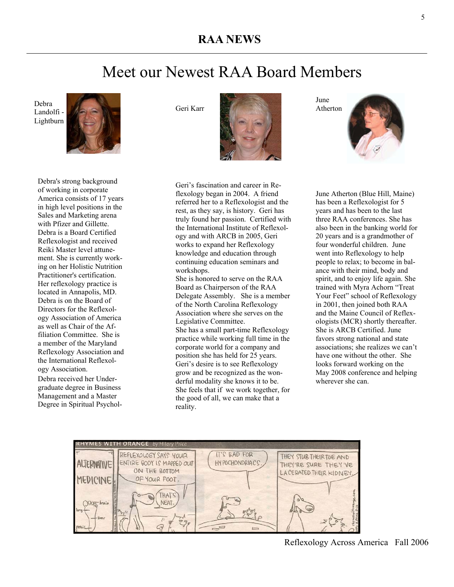## **RAA NEWS**

# Meet our Newest RAA Board Members

Debra Landolfi - Lightburn



Debra's strong background of working in corporate America consists of 17 years in high level positions in the Sales and Marketing arena with Pfizer and Gillette. Debra is a Board Certified Reflexologist and received Reiki Master level attunement. She is currently working on her Holistic Nutrition Practitioner's certification. Her reflexology practice is located in Annapolis, MD. Debra is on the Board of Directors for the Reflexology Association of America as well as Chair of the Affiliation Committee. She is a member of the Maryland Reflexology Association and the International Reflexology Association. Debra received her Undergraduate degree in Business

Management and a Master Degree in Spiritual PsycholGeri Karr



Geri's fascination and career in Reflexology began in 2004. A friend referred her to a Reflexologist and the rest, as they say, is history. Geri has truly found her passion. Certified with the International Institute of Reflexology and with ARCB in 2005, Geri works to expand her Reflexology knowledge and education through continuing education seminars and workshops.

She is honored to serve on the RAA Board as Chairperson of the RAA Delegate Assembly. She is a member of the North Carolina Reflexology Association where she serves on the Legislative Committee. She has a small part-time Reflexology practice while working full time in the corporate world for a company and position she has held for 25 years. Geri's desire is to see Reflexology grow and be recognized as the wonderful modality she knows it to be. She feels that if we work together, for the good of all, we can make that a reality.

Atherton

June

June Atherton (Blue Hill, Maine) has been a Reflexologist for 5 years and has been to the last three RAA conferences. She has also been in the banking world for 20 years and is a grandmother of four wonderful children. June went into Reflexology to help people to relax; to become in balance with their mind, body and spirit, and to enjoy life again. She trained with Myra Achorn "Treat Your Feet" school of Reflexology in 2001, then joined both RAA and the Maine Council of Reflexologists (MCR) shortly thereafter. She is ARCB Certified. June favors strong national and state associations; she realizes we can't have one without the other. She looks forward working on the May 2008 conference and helping wherever she can.



Reflexology Across America Fall 2006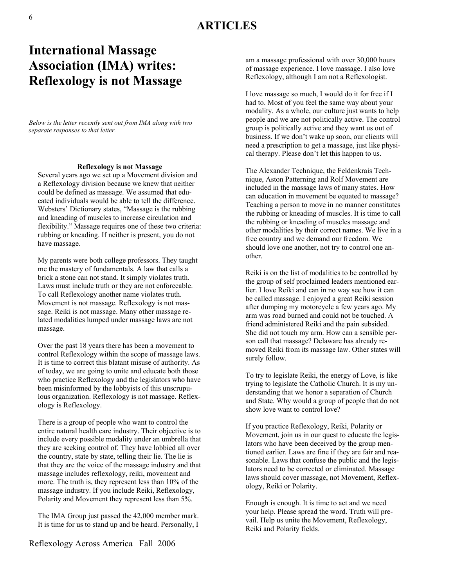## **International Massage Association (IMA) writes: Reflexology is not Massage**

*Below is the letter recently sent out from IMA along with two separate responses to that letter.* 

### **Reflexology is not Massage**

Several years ago we set up a Movement division and a Reflexology division because we knew that neither could be defined as massage. We assumed that educated individuals would be able to tell the difference. Websters' Dictionary states, "Massage is the rubbing and kneading of muscles to increase circulation and flexibility." Massage requires one of these two criteria: rubbing or kneading. If neither is present, you do not have massage.

My parents were both college professors. They taught me the mastery of fundamentals. A law that calls a brick a stone can not stand. It simply violates truth. Laws must include truth or they are not enforceable. To call Reflexology another name violates truth. Movement is not massage. Reflexology is not massage. Reiki is not massage. Many other massage related modalities lumped under massage laws are not massage.

Over the past 18 years there has been a movement to control Reflexology within the scope of massage laws. It is time to correct this blatant misuse of authority. As of today, we are going to unite and educate both those who practice Reflexology and the legislators who have been misinformed by the lobbyists of this unscrupulous organization. Reflexology is not massage. Reflexology is Reflexology.

There is a group of people who want to control the entire natural health care industry. Their objective is to include every possible modality under an umbrella that they are seeking control of. They have lobbied all over the country, state by state, telling their lie. The lie is that they are the voice of the massage industry and that massage includes reflexology, reiki, movement and more. The truth is, they represent less than 10% of the massage industry. If you include Reiki, Reflexology, Polarity and Movement they represent less than 5%.

The IMA Group just passed the 42,000 member mark. It is time for us to stand up and be heard. Personally, I am a massage professional with over 30,000 hours of massage experience. I love massage. I also love Reflexology, although I am not a Reflexologist.

I love massage so much, I would do it for free if I had to. Most of you feel the same way about your modality. As a whole, our culture just wants to help people and we are not politically active. The control group is politically active and they want us out of business. If we don't wake up soon, our clients will need a prescription to get a massage, just like physical therapy. Please don't let this happen to us.

The Alexander Technique, the Feldenkrais Technique, Aston Patterning and Rolf Movement are included in the massage laws of many states. How can education in movement be equated to massage? Teaching a person to move in no manner constitutes the rubbing or kneading of muscles. It is time to call the rubbing or kneading of muscles massage and other modalities by their correct names. We live in a free country and we demand our freedom. We should love one another, not try to control one another.

Reiki is on the list of modalities to be controlled by the group of self proclaimed leaders mentioned earlier. I love Reiki and can in no way see how it can be called massage. I enjoyed a great Reiki session after dumping my motorcycle a few years ago. My arm was road burned and could not be touched. A friend administered Reiki and the pain subsided. She did not touch my arm. How can a sensible person call that massage? Delaware has already removed Reiki from its massage law. Other states will surely follow.

To try to legislate Reiki, the energy of Love, is like trying to legislate the Catholic Church. It is my understanding that we honor a separation of Church and State. Why would a group of people that do not show love want to control love?

If you practice Reflexology, Reiki, Polarity or Movement, join us in our quest to educate the legislators who have been deceived by the group mentioned earlier. Laws are fine if they are fair and reasonable. Laws that confuse the public and the legislators need to be corrected or eliminated. Massage laws should cover massage, not Movement, Reflexology, Reiki or Polarity.

Enough is enough. It is time to act and we need your help. Please spread the word. Truth will prevail. Help us unite the Movement, Reflexology, Reiki and Polarity fields.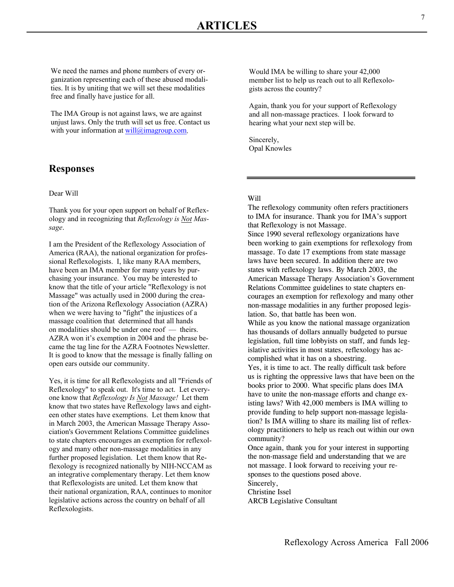We need the names and phone numbers of every organization representing each of these abused modalities. It is by uniting that we will set these modalities free and finally have justice for all.

The IMA Group is not against laws, we are against unjust laws. Only the truth will set us free. Contact us with your information at  $will@imagroup.com$ .

## **Responses**

### Dear Will

Thank you for your open support on behalf of Reflexology and in recognizing that *Reflexology is Not Massage*.

I am the President of the Reflexology Association of America (RAA), the national organization for professional Reflexologists. I, like many RAA members, have been an IMA member for many years by purchasing your insurance. You may be interested to know that the title of your article "Reflexology is not Massage" was actually used in 2000 during the creation of the Arizona Reflexology Association (AZRA) when we were having to "fight" the injustices of a massage coalition that determined that all hands on modalities should be under one roof — theirs. AZRA won it's exemption in 2004 and the phrase became the tag line for the AZRA Footnotes Newsletter. It is good to know that the message is finally falling on open ears outside our community.

Yes, it is time for all Reflexologists and all "Friends of Reflexology" to speak out. It's time to act. Let everyone know that *Reflexology Is Not Massage!* Let them know that two states have Reflexology laws and eighteen other states have exemptions. Let them know that in March 2003, the American Massage Therapy Association's Government Relations Committee guidelines to state chapters encourages an exemption for reflexology and many other non-massage modalities in any further proposed legislation. Let them know that Reflexology is recognized nationally by NIH-NCCAM as an integrative complementary therapy. Let them know that Reflexologists are united. Let them know that their national organization, RAA, continues to monitor legislative actions across the country on behalf of all Reflexologists.

Would IMA be willing to share your 42,000 member list to help us reach out to all Reflexologists across the country?

Again, thank you for your support of Reflexology and all non-massage practices. I look forward to hearing what your next step will be.

Sincerely, Opal Knowles

### Will

The reflexology community often refers practitioners to IMA for insurance. Thank you for IMA's support that Reflexology is not Massage.

Since 1990 several reflexology organizations have been working to gain exemptions for reflexology from massage. To date 17 exemptions from state massage laws have been secured. In addition there are two states with reflexology laws. By March 2003, the American Massage Therapy Association's Government Relations Committee guidelines to state chapters encourages an exemption for reflexology and many other non-massage modalities in any further proposed legislation. So, that battle has been won.

While as you know the national massage organization has thousands of dollars annually budgeted to pursue legislation, full time lobbyists on staff, and funds legislative activities in most states, reflexology has accomplished what it has on a shoestring.

Yes, it is time to act. The really difficult task before us is righting the oppressive laws that have been on the books prior to 2000. What specific plans does IMA have to unite the non-massage efforts and change existing laws? With 42,000 members is IMA willing to provide funding to help support non-massage legislation? Is IMA willing to share its mailing list of reflexology practitioners to help us reach out within our own community?

Once again, thank you for your interest in supporting the non-massage field and understanding that we are not massage. I look forward to receiving your responses to the questions posed above. Sincerely,

Christine Issel

ARCB Legislative Consultant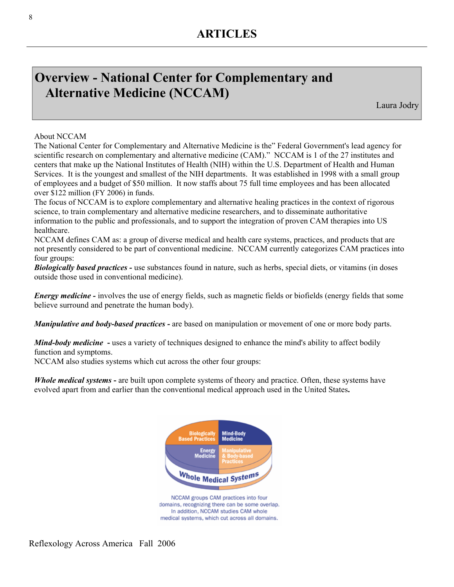# **Overview - National Center for Complementary and Alternative Medicine (NCCAM)**

Laura Jodry

## About NCCAM

The National Center for Complementary and Alternative Medicine is the" Federal Government's lead agency for scientific research on complementary and alternative medicine (CAM)." NCCAM is 1 of the 27 institutes and centers that make up the National Institutes of Health (NIH) within the U.S. Department of Health and Human Services. It is the youngest and smallest of the NIH departments. It was established in 1998 with a small group of employees and a budget of \$50 million. It now staffs about 75 full time employees and has been allocated over \$122 million (FY 2006) in funds.

The focus of NCCAM is to explore complementary and alternative healing practices in the context of rigorous science, to train complementary and alternative medicine researchers, and to disseminate authoritative information to the public and professionals, and to support the integration of proven CAM therapies into US healthcare.

NCCAM defines CAM as: a group of diverse medical and health care systems, practices, and products that are not presently considered to be part of conventional medicine. NCCAM currently categorizes CAM practices into four groups:

*Biologically based practices -* use substances found in nature, such as herbs, special diets, or vitamins (in doses outside those used in conventional medicine).

*Energy medicine -* involves the use of energy fields, such as magnetic fields or biofields (energy fields that some believe surround and penetrate the human body).

*Manipulative and body-based practices -* are based on manipulation or movement of one or more body parts.

*Mind-body medicine* - uses a variety of techniques designed to enhance the mind's ability to affect bodily function and symptoms.

NCCAM also studies systems which cut across the other four groups:

*Whole medical systems* **-** are built upon complete systems of theory and practice. Often, these systems have evolved apart from and earlier than the conventional medical approach used in the United States**.** 

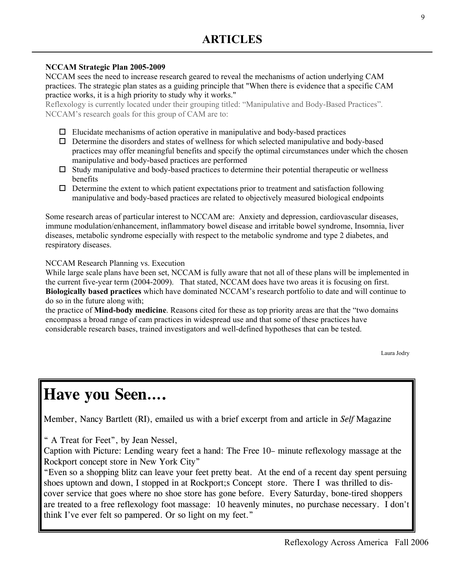## **NCCAM Strategic Plan 2005-2009**

NCCAM sees the need to increase research geared to reveal the mechanisms of action underlying CAM practices. The strategic plan states as a guiding principle that "When there is evidence that a specific CAM practice works, it is a high priority to study why it works."

Reflexology is currently located under their grouping titled: "Manipulative and Body-Based Practices". NCCAM's research goals for this group of CAM are to:

- $\Box$  Elucidate mechanisms of action operative in manipulative and body-based practices
- $\Box$  Determine the disorders and states of wellness for which selected manipulative and body-based practices may offer meaningful benefits and specify the optimal circumstances under which the chosen manipulative and body-based practices are performed
- $\Box$  Study manipulative and body-based practices to determine their potential therapeutic or wellness benefits
- $\Box$  Determine the extent to which patient expectations prior to treatment and satisfaction following manipulative and body-based practices are related to objectively measured biological endpoints

Some research areas of particular interest to NCCAM are: Anxiety and depression, cardiovascular diseases, immune modulation/enhancement, inflammatory bowel disease and irritable bowel syndrome, Insomnia, liver diseases, metabolic syndrome especially with respect to the metabolic syndrome and type 2 diabetes, and respiratory diseases.

NCCAM Research Planning vs. Execution

While large scale plans have been set, NCCAM is fully aware that not all of these plans will be implemented in the current five-year term (2004-2009). That stated, NCCAM does have two areas it is focusing on first. **Biologically based practices** which have dominated NCCAM's research portfolio to date and will continue to do so in the future along with;

the practice of **Mind-body medicine**. Reasons cited for these as top priority areas are that the "two domains encompass a broad range of cam practices in widespread use and that some of these practices have considerable research bases, trained investigators and well-defined hypotheses that can be tested.

Laura Jodry

# **Have you Seen….**

Member, Nancy Bartlett (RI), emailed us with a brief excerpt from and article in *Self* Magazine

" A Treat for Feet", by Jean Nessel,

Caption with Picture: Lending weary feet a hand: The Free 10– minute reflexology massage at the Rockport concept store in New York City"

"Even so a shopping blitz can leave your feet pretty beat. At the end of a recent day spent persuing shoes uptown and down, I stopped in at Rockport;s Concept store. There I was thrilled to discover service that goes where no shoe store has gone before. Every Saturday, bone-tired shoppers are treated to a free reflexology foot massage: 10 heavenly minutes, no purchase necessary. I don't think I've ever felt so pampered. Or so light on my feet."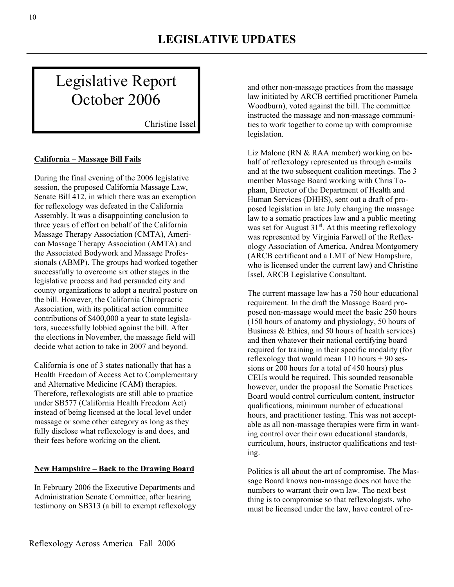# Legislative Report October 2006

Christine Issel

## **California – Massage Bill Fails**

During the final evening of the 2006 legislative session, the proposed California Massage Law, Senate Bill 412, in which there was an exemption for reflexology was defeated in the California Assembly. It was a disappointing conclusion to three years of effort on behalf of the California Massage Therapy Association (CMTA), American Massage Therapy Association (AMTA) and the Associated Bodywork and Massage Professionals (ABMP). The groups had worked together successfully to overcome six other stages in the legislative process and had persuaded city and county organizations to adopt a neutral posture on the bill. However, the California Chiropractic Association, with its political action committee contributions of \$400,000 a year to state legislators, successfully lobbied against the bill. After the elections in November, the massage field will decide what action to take in 2007 and beyond.

California is one of 3 states nationally that has a Health Freedom of Access Act to Complementary and Alternative Medicine (CAM) therapies. Therefore, reflexologists are still able to practice under SB577 (California Health Freedom Act) instead of being licensed at the local level under massage or some other category as long as they fully disclose what reflexology is and does, and their fees before working on the client.

### **New Hampshire – Back to the Drawing Board**

In February 2006 the Executive Departments and Administration Senate Committee, after hearing testimony on SB313 (a bill to exempt reflexology

and other non-massage practices from the massage law initiated by ARCB certified practitioner Pamela Woodburn), voted against the bill. The committee instructed the massage and non-massage communities to work together to come up with compromise legislation.

Liz Malone (RN & RAA member) working on behalf of reflexology represented us through e-mails and at the two subsequent coalition meetings. The 3 member Massage Board working with Chris Topham, Director of the Department of Health and Human Services (DHHS), sent out a draft of proposed legislation in late July changing the massage law to a somatic practices law and a public meeting was set for August 31<sup>st</sup>. At this meeting reflexology was represented by Virginia Farwell of the Reflexology Association of America, Andrea Montgomery (ARCB certificant and a LMT of New Hampshire, who is licensed under the current law) and Christine Issel, ARCB Legislative Consultant.

The current massage law has a 750 hour educational requirement. In the draft the Massage Board proposed non-massage would meet the basic 250 hours (150 hours of anatomy and physiology, 50 hours of Business & Ethics, and 50 hours of health services) and then whatever their national certifying board required for training in their specific modality (for reflexology that would mean  $110$  hours  $+90$  sessions or 200 hours for a total of 450 hours) plus CEUs would be required. This sounded reasonable however, under the proposal the Somatic Practices Board would control curriculum content, instructor qualifications, minimum number of educational hours, and practitioner testing. This was not acceptable as all non-massage therapies were firm in wanting control over their own educational standards, curriculum, hours, instructor qualifications and testing.

Politics is all about the art of compromise. The Massage Board knows non-massage does not have the numbers to warrant their own law. The next best thing is to compromise so that reflexologists, who must be licensed under the law, have control of re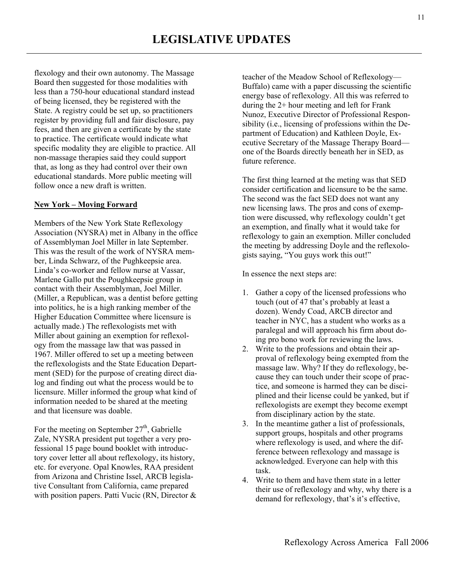flexology and their own autonomy. The Massage Board then suggested for those modalities with less than a 750-hour educational standard instead of being licensed, they be registered with the State. A registry could be set up, so practitioners register by providing full and fair disclosure, pay fees, and then are given a certificate by the state to practice. The certificate would indicate what specific modality they are eligible to practice. All non-massage therapies said they could support that, as long as they had control over their own educational standards. More public meeting will follow once a new draft is written.

### **New York – Moving Forward**

Members of the New York State Reflexology Association (NYSRA) met in Albany in the office of Assemblyman Joel Miller in late September. This was the result of the work of NYSRA member, Linda Schwarz, of the Pughkeepsie area. Linda's co-worker and fellow nurse at Vassar, Marlene Gallo put the Poughkeepsie group in contact with their Assemblyman, Joel Miller. (Miller, a Republican, was a dentist before getting into politics, he is a high ranking member of the Higher Education Committee where licensure is actually made.) The reflexologists met with Miller about gaining an exemption for reflexology from the massage law that was passed in 1967. Miller offered to set up a meeting between the reflexologists and the State Education Department (SED) for the purpose of creating direct dialog and finding out what the process would be to licensure. Miller informed the group what kind of information needed to be shared at the meeting and that licensure was doable.

For the meeting on September  $27<sup>th</sup>$ , Gabrielle Zale, NYSRA president put together a very professional 15 page bound booklet with introductory cover letter all about reflexology, its history, etc. for everyone. Opal Knowles, RAA president from Arizona and Christine Issel, ARCB legislative Consultant from California, came prepared with position papers. Patti Vucic (RN, Director  $\&$  teacher of the Meadow School of Reflexology— Buffalo) came with a paper discussing the scientific energy base of reflexology. All this was referred to during the 2+ hour meeting and left for Frank Nunoz, Executive Director of Professional Responsibility (i.e., licensing of professions within the Department of Education) and Kathleen Doyle, Executive Secretary of the Massage Therapy Board one of the Boards directly beneath her in SED, as future reference.

The first thing learned at the meting was that SED consider certification and licensure to be the same. The second was the fact SED does not want any new licensing laws. The pros and cons of exemption were discussed, why reflexology couldn't get an exemption, and finally what it would take for reflexology to gain an exemption. Miller concluded the meeting by addressing Doyle and the reflexologists saying, "You guys work this out!"

In essence the next steps are:

- 1. Gather a copy of the licensed professions who touch (out of 47 that's probably at least a dozen). Wendy Coad, ARCB director and teacher in NYC, has a student who works as a paralegal and will approach his firm about doing pro bono work for reviewing the laws.
- 2. Write to the professions and obtain their approval of reflexology being exempted from the massage law. Why? If they do reflexology, because they can touch under their scope of practice, and someone is harmed they can be disciplined and their license could be yanked, but if reflexologists are exempt they become exempt from disciplinary action by the state.
- 3. In the meantime gather a list of professionals, support groups, hospitals and other programs where reflexology is used, and where the difference between reflexology and massage is acknowledged. Everyone can help with this task.
- 4. Write to them and have them state in a letter their use of reflexology and why, why there is a demand for reflexology, that's it's effective,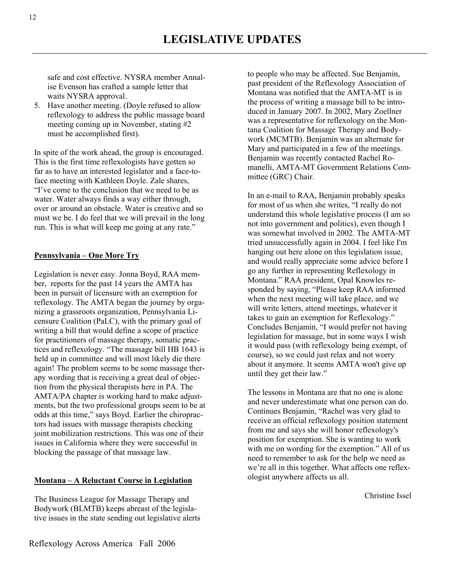safe and cost effective. NYSRA member Annalise Evenson has crafted a sample letter that waits NYSRA approval.

5. Have another meeting. (Doyle refused to allow reflexology to address the public massage board meeting coming up in November, stating #2 must be accomplished first).

In spite of the work ahead, the group is encouraged. This is the first time reflexologists have gotten so far as to have an interested legislator and a face-toface meeting with Kathleen Doyle. Zale shares, "I've come to the conclusion that we need to be as water. Water always finds a way either through, over or around an obstacle. Water is creative and so must we be. I do feel that we will prevail in the long run. This is what will keep me going at any rate."

## **Pennsylvania – One More Try**

Legislation is never easy. Jonna Boyd, RAA member, reports for the past 14 years the AMTA has been in pursuit of licensure with an exemption for reflexology. The AMTA began the journey by organizing a grassroots organization, Pennsylvania Licensure Coalition (PaLC), with the primary goal of writing a bill that would define a scope of practice for practitioners of massage therapy, somatic practices and reflexology. "The massage bill HB 1643 is held up in committee and will most likely die there again! The problem seems to be some massage therapy wording that is receiving a great deal of objection from the physical therapists here in PA. The AMTA/PA chapter is working hard to make adjustments, but the two professional groups seem to be at odds at this time," says Boyd. Earlier the chiropractors had issues with massage therapists checking joint mobilization restrictions. This was one of their issues in California where they were successful in blocking the passage of that massage law.

### **Montana – A Reluctant Course in Legislation**

The Business League for Massage Therapy and Bodywork (BLMTB) keeps abreast of the legislative issues in the state sending out legislative alerts to people who may be affected. Sue Benjamin, past president of the Reflexology Association of Montana was notified that the AMTA-MT is in the process of writing a massage bill to be introduced in January 2007. In 2002, Mary Zoellner was a representative for reflexology on the Montana Coalition for Massage Therapy and Bodywork (MCMTB). Benjamin was an alternate for Mary and participated in a few of the meetings. Benjamin was recently contacted Rachel Romanelli, AMTA-MT Government Relations Committee (GRC) Chair.

In an e-mail to RAA, Benjamin probably speaks for most of us when she writes, "I really do not understand this whole legislative process (I am so not into government and politics), even though I was somewhat involved in 2002. The AMTA-MT tried unsuccessfully again in 2004. I feel like I'm hanging out here alone on this legislation issue, and would really appreciate some advice before I go any further in representing Reflexology in Montana." RAA president, Opal Knowles responded by saying, "Please keep RAA informed when the next meeting will take place, and we will write letters, attend meetings, whatever it takes to gain an exemption for Reflexology." Concludes Benjamin, "I would prefer not having legislation for massage, but in some ways I wish it would pass (with reflexology being exempt, of course), so we could just relax and not worry about it anymore. It seems AMTA won't give up until they get their law."

The lessons in Montana are that no one is alone and never underestimate what one person can do. Continues Benjamin, "Rachel was very glad to receive an official reflexology position statement from me and says she will honor reflexology's position for exemption. She is wanting to work with me on wording for the exemption." All of us need to remember to ask for the help we need as we're all in this together. What affects one reflexologist anywhere affects us all.

Christine Issel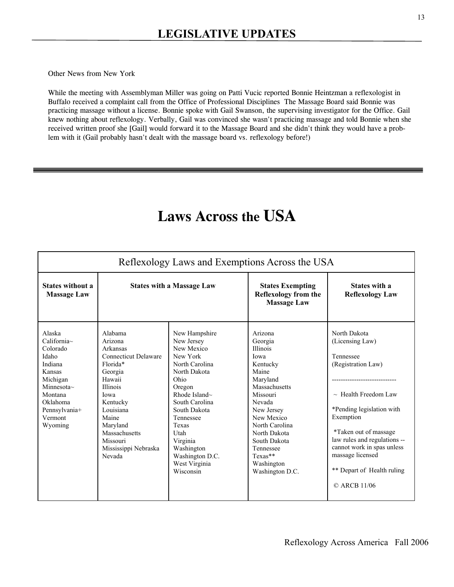Other News from New York

While the meeting with Assemblyman Miller was going on Patti Vucic reported Bonnie Heintzman a reflexologist in Buffalo received a complaint call from the Office of Professional Disciplines The Massage Board said Bonnie was practicing massage without a license. Bonnie spoke with Gail Swanson, the supervising investigator for the Office. Gail knew nothing about reflexology. Verbally, Gail was convinced she wasn't practicing massage and told Bonnie when she received written proof she [Gail] would forward it to the Massage Board and she didn't think they would have a problem with it (Gail probably hasn't dealt with the massage board vs. reflexology before!)

# **Laws Across the USA**

| Reflexology Laws and Exemptions Across the USA                                                                                                                     |                                                                                                                                                                                                                                        |                                                                                                                                                                                                                                                                             |                                                                                                                                                                                                                                                              |                                                                                                                                                                                                                                                                                                        |  |  |
|--------------------------------------------------------------------------------------------------------------------------------------------------------------------|----------------------------------------------------------------------------------------------------------------------------------------------------------------------------------------------------------------------------------------|-----------------------------------------------------------------------------------------------------------------------------------------------------------------------------------------------------------------------------------------------------------------------------|--------------------------------------------------------------------------------------------------------------------------------------------------------------------------------------------------------------------------------------------------------------|--------------------------------------------------------------------------------------------------------------------------------------------------------------------------------------------------------------------------------------------------------------------------------------------------------|--|--|
| <b>States without a</b><br><b>Massage Law</b>                                                                                                                      | <b>States with a Massage Law</b>                                                                                                                                                                                                       |                                                                                                                                                                                                                                                                             | <b>States Exempting</b><br><b>Reflexology from the</b><br><b>Massage Law</b>                                                                                                                                                                                 | States with a<br><b>Reflexology Law</b>                                                                                                                                                                                                                                                                |  |  |
| Alaska<br>$California\sim$<br>Colorado<br>Idaho<br>Indiana<br>Kansas<br>Michigan<br>Minnesota $\sim$<br>Montana<br>Oklahoma<br>Pennsylvania+<br>Vermont<br>Wyoming | Alabama<br>Arizona<br>Arkansas<br><b>Connecticut Delaware</b><br>Florida*<br>Georgia<br>Hawaii<br><b>Illinois</b><br>Iowa<br>Kentucky<br>Louisiana<br>Maine<br>Maryland<br>Massachusetts<br>Missouri<br>Mississippi Nebraska<br>Nevada | New Hampshire<br>New Jersey<br>New Mexico<br>New York<br>North Carolina<br>North Dakota<br>Ohio<br>Oregon<br>Rhode Island $\sim$<br>South Carolina<br>South Dakota<br>Tennessee<br>Texas<br>Utah<br>Virginia<br>Washington<br>Washington D.C.<br>West Virginia<br>Wisconsin | Arizona<br>Georgia<br><b>Illinois</b><br>Iowa<br>Kentucky<br>Maine<br>Maryland<br>Massachusetts<br>Missouri<br>Nevada<br>New Jersey<br>New Mexico<br>North Carolina<br>North Dakota<br>South Dakota<br>Tennessee<br>Texas**<br>Washington<br>Washington D.C. | North Dakota<br>(Licensing Law)<br>Tennessee<br>(Registration Law)<br><br>$\sim$ Health Freedom Law<br>*Pending legislation with<br>Exemption<br>*Taken out of massage<br>law rules and regulations --<br>cannot work in spas unless<br>massage licensed<br>** Depart of Health ruling<br>© ARCB 11/06 |  |  |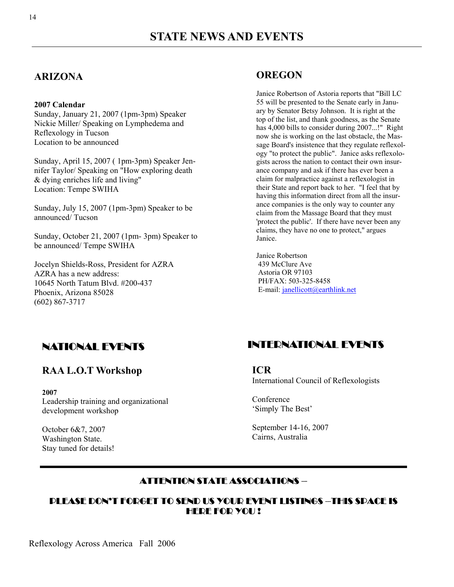## **ARIZONA**

### **2007 Calendar**

Sunday, January 21, 2007 (1pm-3pm) Speaker Nickie Miller/ Speaking on Lymphedema and Reflexology in Tucson Location to be announced

Sunday, April 15, 2007 ( 1pm-3pm) Speaker Jennifer Taylor/ Speaking on "How exploring death & dying enriches life and living" Location: Tempe SWIHA

Sunday, July 15, 2007 (1pm-3pm) Speaker to be announced/ Tucson

Sunday, October 21, 2007 (1pm- 3pm) Speaker to be announced/ Tempe SWIHA

Jocelyn Shields-Ross, President for AZRA AZRA has a new address: 10645 North Tatum Blvd. #200-437 Phoenix, Arizona 85028 (602) 867-3717

## **OREGON**

Janice Robertson of Astoria reports that "Bill LC 55 will be presented to the Senate early in January by Senator Betsy Johnson. It is right at the top of the list, and thank goodness, as the Senate has 4,000 bills to consider during 2007...!" Right now she is working on the last obstacle, the Massage Board's insistence that they regulate reflexology "to protect the public". Janice asks reflexologists across the nation to contact their own insurance company and ask if there has ever been a claim for malpractice against a reflexologist in their State and report back to her. "I feel that by having this information direct from all the insurance companies is the only way to counter any claim from the Massage Board that they must 'protect the public'. If there have never been any claims, they have no one to protect," argues Janice.

Janice Robertson 439 McClure Ave Astoria OR 97103 PH/FAX: 503-325-8458 E-mail: janellicott@earthlink.net

## NATIONAL EVENTS

## **RAA L.O.T Workshop**

**2007**  Leadership training and organizational development workshop

October 6&7, 2007 Washington State. Stay tuned for details!

## INTERNATIONAL EVENTS

**ICR**  International Council of Reflexologists

Conference 'Simply The Best'

September 14-16, 2007 Cairns, Australia

## ATTENTION STATE ASSOCIATIONS –

## PLEASE DON'T FORGET TO SEND US YOUR EVENT LISTINGS –THIS SPACE IS HEDE FOD YOU!

Reflexology Across America Fall 2006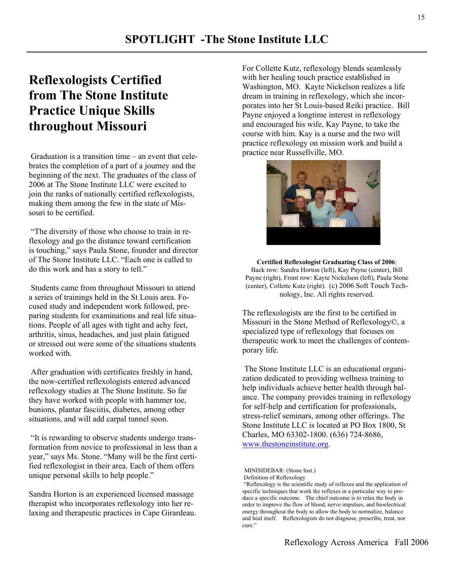# **Reflexologists Certified from The Stone Institute Practice Unique Skills throughout Missouri**

 Graduation is a transition time – an event that celebrates the completion of a part of a journey and the beginning of the next. The graduates of the class of 2006 at The Stone Institute LLC were excited to join the ranks of nationally certified reflexologists, making them among the few in the state of Missouri to be certified.

 "The diversity of those who choose to train in reflexology and go the distance toward certification is touching," says Paula Stone, founder and director of The Stone Institute LLC. "Each one is called to do this work and has a story to tell."

 Students came from throughout Missouri to attend a series of trainings held in the St Louis area. Focused study and independent work followed, preparing students for examinations and real life situations. People of all ages with tight and achy feet, arthritis, sinus, headaches, and just plain fatigued or stressed out were some of the situations students worked with.

 After graduation with certificates freshly in hand, the now-certified reflexologists entered advanced reflexology studies at The Stone Institute. So far they have worked with people with hammer toe, bunions, plantar fasciitis, diabetes, among other situations, and will add carpal tunnel soon.

 "It is rewarding to observe students undergo transformation from novice to professional in less than a year," says Ms. Stone. "Many will be the first certified reflexologist in their area. Each of them offers unique personal skills to help people."

Sandra Horton is an experienced licensed massage therapist who incorporates reflexology into her relaxing and therapeutic practices in Cape Girardeau. For Collette Kutz, reflexology blends seamlessly with her healing touch practice established in Washington, MO. Kayte Nickelson realizes a life dream in training in reflexology, which she incorporates into her St Louis-based Reiki practice. Bill Payne enjoyed a longtime interest in reflexology and encouraged his wife, Kay Payne, to take the course with him. Kay is a nurse and the two will practice reflexology on mission work and build a practice near Russellville, MO.



**Certified Reflexologist Graduating Class of 2006**: Back row: Sandra Horton (left), Kay Payne (center), Bill Payne (right), Front row: Kayte Nickelson (left), Paula Stone (center), Collette Kutz (right). (c) 2006 Soft Touch Technology, Inc. All rights reserved.

The reflexologists are the first to be certified in Missouri in the Stone Method of Reflexology©, a specialized type of reflexology that focuses on therapeutic work to meet the challenges of contemporary life.

 The Stone Institute LLC is an educational organization dedicated to providing wellness training to help individuals achieve better health through balance. The company provides training in reflexology for self-help and certification for professionals, stress-relief seminars, among other offerings. The Stone Institute LLC is located at PO Box 1800, St Charles, MO 63302-1800. (636) 724-8686, www.thestoneinstitute.org.

MINISIDEBAR: (Stone Inst.)

Definition of Reflexology

 <sup>&</sup>quot;Reflexology is the scientific study of reflexes and the application of specific techniques that work the reflexes in a particular way to produce a specific outcome. The chief outcome is to relax the body in order to improve the flow of blood, nerve impulses, and bioelectrical energy throughout the body to allow the body to normalize, balance and heal itself. Reflexologists do not diagnose, prescribe, treat, nor cure."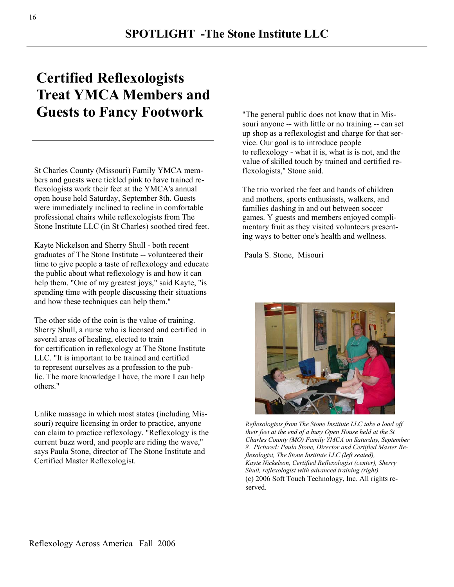# **Certified Reflexologists Treat YMCA Members and Guests to Fancy Footwork**

St Charles County (Missouri) Family YMCA members and guests were tickled pink to have trained reflexologists work their feet at the YMCA's annual open house held Saturday, September 8th. Guests were immediately inclined to recline in comfortable professional chairs while reflexologists from The Stone Institute LLC (in St Charles) soothed tired feet.

Kayte Nickelson and Sherry Shull - both recent graduates of The Stone Institute -- volunteered their time to give people a taste of reflexology and educate the public about what reflexology is and how it can help them. "One of my greatest joys," said Kayte, "is spending time with people discussing their situations and how these techniques can help them."

The other side of the coin is the value of training. Sherry Shull, a nurse who is licensed and certified in several areas of healing, elected to train for certification in reflexology at The Stone Institute LLC. "It is important to be trained and certified to represent ourselves as a profession to the public. The more knowledge I have, the more I can help others."

Unlike massage in which most states (including Missouri) require licensing in order to practice, anyone can claim to practice reflexology. "Reflexology is the current buzz word, and people are riding the wave," says Paula Stone, director of The Stone Institute and Certified Master Reflexologist.

"The general public does not know that in Missouri anyone -- with little or no training -- can set up shop as a reflexologist and charge for that service. Our goal is to introduce people to reflexology - what it is, what is is not, and the value of skilled touch by trained and certified reflexologists," Stone said.

The trio worked the feet and hands of children and mothers, sports enthusiasts, walkers, and families dashing in and out between soccer games. Y guests and members enjoyed complimentary fruit as they visited volunteers presenting ways to better one's health and wellness.

Paula S. Stone, Misouri



*Reflexologists from The Stone Institute LLC take a load off their feet at the end of a busy Open House held at the St Charles County (MO) Family YMCA on Saturday, September 8. Pictured: Paula Stone, Director and Certified Master Reflexologist, The Stone Institute LLC (left seated), Kayte Nickelson, Certified Reflexologist (center), Sherry Shull, reflexologist with advanced training (right).*  (c) 2006 Soft Touch Technology, Inc. All rights reserved.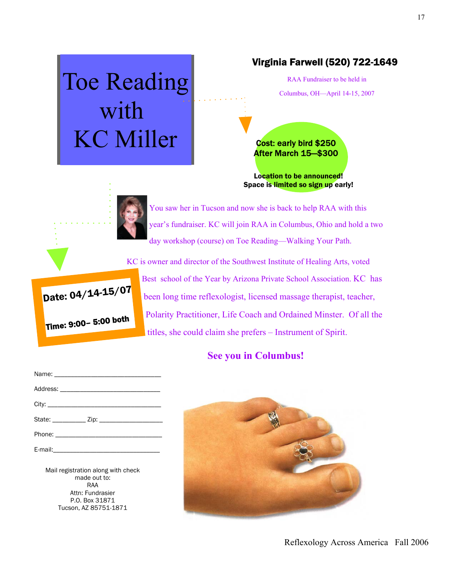# Toe Reading with KC Miller

## Virginia Farwell (520) 722-1649

RAA Fundraiser to be held in Columbus, OH—April 14-15, 2007

Cost: early bird \$250 After March 15—\$300

Location to be announced! Space is limited so sign up early!



You saw her in Tucson and now she is back to help RAA with this year's fundraiser. KC will join RAA in Columbus, Ohio and hold a two day workshop (course) on Toe Reading—Walking Your Path.



KC is owner and director of the Southwest Institute of Healing Arts, voted Best school of the Year by Arizona Private School Association. KC has been long time reflexologist, licensed massage therapist, teacher, Polarity Practitioner, Life Coach and Ordained Minster. Of all the titles, she could claim she prefers – Instrument of Spirit.

## **See you in Columbus!**

Mail registration along with check made out to: RAA Attn: Fundrasier P.O. Box 31871 Tucson, AZ 85751-1871

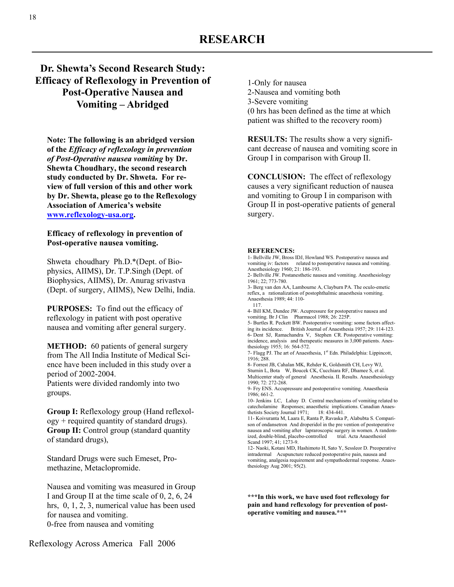## **Dr. Shewta's Second Research Study: Efficacy of Reflexology in Prevention of Post-Operative Nausea and Vomiting – Abridged**

**Note: The following is an abridged version of the** *Efficacy of reflexology in prevention of Post-Operative nausea vomiting* **by Dr. Shewta Choudhary, the second research study conducted by Dr. Shweta. For review of full version of this and other work by Dr. Shewta, please go to the Reflexology Association of America's website www.reflexology-usa.org.** 

### **Efficacy of reflexology in prevention of Post-operative nausea vomiting.**

Shweta choudhary Ph.D.\*(Dept. of Biophysics, AIIMS), Dr. T.P.Singh (Dept. of Biophysics, AIIMS), Dr. Anurag srivastva (Dept. of surgery, AIIMS), New Delhi, India.

**PURPOSES:** To find out the efficacy of reflexology in patient with post operative nausea and vomiting after general surgery.

**METHOD:** 60 patients of general surgery from The All India Institute of Medical Science have been included in this study over a period of 2002-2004.

Patients were divided randomly into two groups.

**Group I:** Reflexology group (Hand reflexology + required quantity of standard drugs). **Group II:** Control group (standard quantity of standard drugs),

Standard Drugs were such Emeset, Promethazine, Metaclopromide.

Nausea and vomiting was measured in Group I and Group II at the time scale of 0, 2, 6, 24 hrs, 0, 1, 2, 3, numerical value has been used for nausea and vomiting. 0-free from nausea and vomiting

1-Only for nausea 2-Nausea and vomiting both 3-Severe vomiting (0 hrs has been defined as the time at which patient was shifted to the recovery room)

**RESULTS:** The results show a very significant decrease of nausea and vomiting score in Group I in comparison with Group II.

**CONCLUSION:** The effect of reflexology causes a very significant reduction of nausea and vomiting to Group I in comparison with Group II in post-operative patients of general surgery.

### **REFERENCES:**

1- Bellville JW, Bross IDJ, Howland WS. Postoperative nausea and vomiting iv: factors related to postoperative nausea and vomiting. Anesthesiology 1960; 21: 186-193. 2- Bellville JW. Postanesthetic nausea and vomiting. Anesthesiology 1961; 22; 773-780. 3- Berg van den AA, Lambourne A, Clayburn PA. The oculo-emetic reflex, a rationalization of postophthalmic anaesthesia vomiting. Anaesthesia 1989; 44: 110- 117. 4- Bill KM, Dundee JW. Acupressure for postoperative nausea and vomiting. Br J Clin Pharmacol 1988; 26: 225P. 5- Burtles R. Peckett BW. Postoperative vomiting: some factors affecting its incidence. British Journal of Anaesthesia 1957; 29: 114-123. 6- Dent SJ, Ramachandra V, Stephen CR. Postoperative vomiting: incidence, analysis and therapeutic measures in 3,000 patients. Anesthesiology 1955; 16: 564-572. 7- Flagg PJ. The art of Anaesthesia, 1<sup>st</sup> Edn. Philadelphia: Lippincott, 1916; 288. 8- Forrest JB, Cahalan MK, Rehder K, Goldsmith CH, Levy WJ, Sturnin L, Bota W, Boucek CK, Cucchiara RF, Dhamee S, et al. Multicenter study of general Anesthesia. II. Results. Anaesthesiology 1990; 72: 272-268. 9- Fry ENS. Accupressure and postoperative vomiting. Anaesthesia 1986; 661-2. 10- Jenkins LC, Lahay D. Central mechanisms of vomiting related to catecholamine Responses; anaesthetic implications. Canadian Anaesthetists Society Journal 1971; 18: 434-441. 11- Koivuranta M, Laara E, Ranta P, Ravaska P, Alabubta S. Comparison of ondansetron And droperidol in the pre vention of postoperative nausea and vomiting after lapraroscopic surgery in women. A random-<br>ized. double-blind. placebo-controlled trial. Acta Anaesthesiol ized, double-blind, placebo-controlled Scand 1997; 41; 1273-9. 12- Naoki, Kotani MD, Hashimoto H, Sato Y, Sessleor D. Preoperative

intradermal Acupuncture reduced postoperative pain, nausea and vomiting, analgesia requirement and sympathodermal response. Anaesthesiology Aug 2001; 95(2).

**\*\*\*In this work, we have used foot reflexology for pain and hand reflexology for prevention of postoperative vomiting and nausea.\*\*\***

Reflexology Across America Fall 2006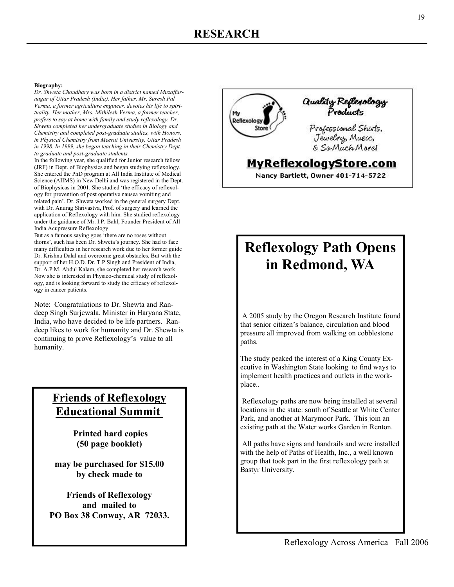#### **Biography:**

*Dr. Shweta Choudhary was born in a district named Muzaffarnagar of Uttar Pradesh (India). Her father, Mr. Suresh Pal Verma, a former agriculture engineer, devotes his life to spirituality. Her mother, Mrs. Mithilesh Verma, a former teacher, prefers to say at home with family and study reflexology. Dr. Shweta completed her undergraduate studies in Biology and Chemistry and completed post-graduate studies, with Honors, in Physical Chemistry from Meerut University, Uttar Pradesh in 1998. In 1999, she began teaching in their Chemistry Dept. to graduate and post-graduate students.* 

In the following year, she qualified for Junior research fellow (JRF) in Dept. of Biophysics and began studying reflexology. She entered the PhD program at All India Institute of Medical Science (AIIMS) in New Delhi and was registered in the Dept. of Biophysicas in 2001. She studied 'the efficacy of reflexology for prevention of post operative nausea vomiting and related pain'. Dr. Shweta worked in the general surgery Dept. with Dr. Anurag Shrivastva, Prof. of surgery and learned the application of Reflexology with him. She studied reflexology under the guidance of Mr. I.P. Bahl, Founder President of All India Acupressure Reflexology.

But as a famous saying goes 'there are no roses without thorns', such has been Dr. Shweta's journey. She had to face many difficulties in her research work due to her former guide Dr. Krishna Dalal and overcome great obstacles. But with the support of her H.O.D. Dr. T.P.Singh and President of India, Dr. A.P.M. Abdul Kalam, she completed her research work. Now she is interested in Physico-chemical study of reflexology, and is looking forward to study the efficacy of reflexology in cancer patients.

Note: Congratulations to Dr. Shewta and Randeep Singh Surjewala, Minister in Haryana State, India, who have decided to be life partners. Randeep likes to work for humanity and Dr. Shewta is continuing to prove Reflexology's value to all humanity.

## **Friends of Reflexology Educational Summit**

**Printed hard copies (50 page booklet)** 

**may be purchased for \$15.00 by check made to** 

**Friends of Reflexology and mailed to PO Box 38 Conway, AR 72033.** 



# **Reflexology Path Opens in Redmond, WA**

 A 2005 study by the Oregon Research Institute found that senior citizen's balance, circulation and blood pressure all improved from walking on cobblestone paths.

The study peaked the interest of a King County Executive in Washington State looking to find ways to implement health practices and outlets in the workplace..

 Reflexology paths are now being installed at several locations in the state: south of Seattle at White Center Park, and another at Marymoor Park. This join an existing path at the Water works Garden in Renton.

 All paths have signs and handrails and were installed with the help of Paths of Health, Inc., a well known group that took part in the first reflexology path at Bastyr University.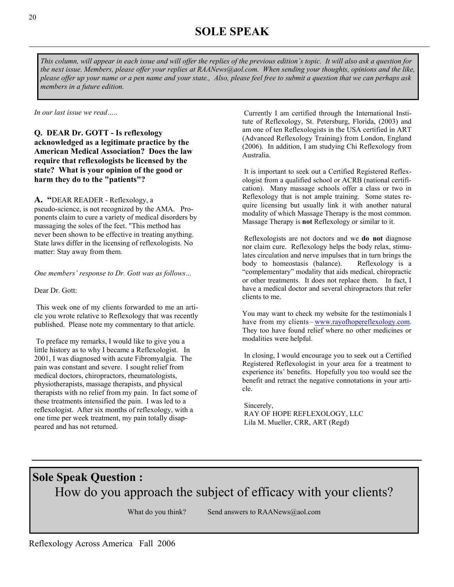*This column, will appear in each issue and will offer the replies of the previous edition's topic. It will also ask a question for the next issue. Members, please offer your replies at RAANews@aol.com. When sending your thoughts, opinions and the like, please offer up your name or a pen name and your state., Also, please feel free to submit a question that we can perhaps ask members in a future edition.* 

*In our last issue we read…..* 

**Q. DEAR Dr. GOTT - Is reflexology acknowledged as a legitimate practice by the American Medical Association? Does the law require that reflexologists be licensed by the state? What is your opinion of the good or harm they do to the "patients"?** 

**A. "**DEAR READER - Reflexology, a pseudo-science, is not recognized by the AMA. Proponents claim to cure a variety of medical disorders by massaging the soles of the feet. "This method has never been shown to be effective in treating anything. State laws differ in the licensing of reflexologists. No matter: Stay away from them.

*One members' response to Dr. Gott was as follows…* 

Dear Dr. Gott:

 This week one of my clients forwarded to me an article you wrote relative to Reflexology that was recently published. Please note my commentary to that article.

 To preface my remarks, I would like to give you a little history as to why I became a Reflexologist. In 2001, I was diagnosed with acute Fibromyalgia. The pain was constant and severe. I sought relief from medical doctors, chiropractors, rheumatologists, physiotherapists, massage therapists, and physical therapists with no relief from my pain. In fact some of these treatments intensified the pain. I was led to a reflexologist. After six months of reflexology, with a one time per week treatment, my pain totally disappeared and has not returned.

 Currently I am certified through the International Institute of Reflexology, St. Petersburg, Florida, (2003) and am one of ten Reflexologists in the USA certified in ART (Advanced Reflexology Training) from London, England (2006). In addition, I am studying Chi Reflexology from Australia.

 It is important to seek out a Certified Registered Reflexologist from a qualified school or ACRB (national certification). Many massage schools offer a class or two in Reflexology that is not ample training. Some states require licensing but usually link it with another natural modality of which Massage Therapy is the most common. Massage Therapy is **not** Reflexology or similar to it.

 Reflexologists are not doctors and we **do not** diagnose nor claim cure. Reflexology helps the body relax, stimulates circulation and nerve impulses that in turn brings the body to homeostasis (balance). Reflexology is a "complementary" modality that aids medical, chiropractic or other treatments. It does not replace them. In fact, I have a medical doctor and several chiropractors that refer clients to me.

You may want to check my website for the testimonials I have from my clients – www.rayofhopereflexology.com. They too have found relief where no other medicines or modalities were helpful.

 In closing, I would encourage you to seek out a Certified Registered Reflexologist in your area for a treatment to experience its' benefits. Hopefully you too would see the benefit and retract the negative connotations in your article.

 Sincerely, RAY OF HOPE REFLEXOLOGY, LLC Lila M. Mueller, CRR, ART (Regd)

## **Sole Speak Question :** How do you approach the subject of efficacy with your clients?

What do you think? Send answers to  $RAANews@aol.com$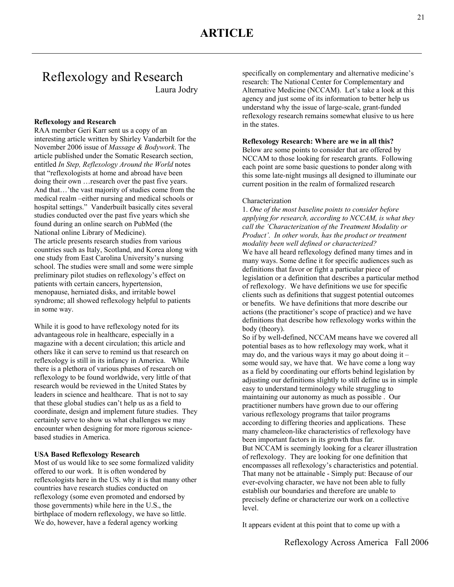## Reflexology and Research Laura Jodry

### **Reflexology and Research**

RAA member Geri Karr sent us a copy of an interesting article written by Shirley Vanderbilt for the November 2006 issue of *Massage & Bodywork*. The article published under the Somatic Research section, entitled *In Step, Reflexology Around the World* notes that "reflexologists at home and abroad have been doing their own …research over the past five years. And that…'the vast majority of studies come from the medical realm –either nursing and medical schools or hospital settings." Vanderbuilt basically cites several studies conducted over the past five years which she found during an online search on PubMed (the National online Library of Medicine). The article presents research studies from various countries such as Italy, Scotland, and Korea along with one study from East Carolina University's nursing school. The studies were small and some were simple preliminary pilot studies on reflexology's effect on patients with certain cancers, hypertension, menopause, herniated disks, and irritable bowel syndrome; all showed reflexology helpful to patients in some way.

While it is good to have reflexology noted for its advantageous role in healthcare, especially in a magazine with a decent circulation; this article and others like it can serve to remind us that research on reflexology is still in its infancy in America. While there is a plethora of various phases of research on reflexology to be found worldwide, very little of that research would be reviewed in the United States by leaders in science and healthcare. That is not to say that these global studies can't help us as a field to coordinate, design and implement future studies. They certainly serve to show us what challenges we may encounter when designing for more rigorous sciencebased studies in America.

#### **USA Based Reflexology Research**

Most of us would like to see some formalized validity offered to our work. It is often wondered by reflexologists here in the US. why it is that many other countries have research studies conducted on reflexology (some even promoted and endorsed by those governments) while here in the U.S., the birthplace of modern reflexology, we have so little. We do, however, have a federal agency working

specifically on complementary and alternative medicine's research: The National Center for Complementary and Alternative Medicine (NCCAM). Let's take a look at this agency and just some of its information to better help us understand why the issue of large-scale, grant-funded reflexology research remains somewhat elusive to us here in the states.

### **Reflexology Research: Where are we in all this?**

Below are some points to consider that are offered by NCCAM to those looking for research grants. Following each point are some basic questions to ponder along with this some late-night musings all designed to illuminate our current position in the realm of formalized research

#### Characterization

1. *One of the most baseline points to consider before applying for research, according to NCCAM, is what they call the 'Characterization of the Treatment Modality or Product'. In other words, has the product or treatment modality been well defined or characterized?* We have all heard reflexology defined many times and in many ways. Some define it for specific audiences such as definitions that favor or fight a particular piece of legislation or a definition that describes a particular method of reflexology. We have definitions we use for specific clients such as definitions that suggest potential outcomes or benefits. We have definitions that more describe our actions (the practitioner's scope of practice) and we have definitions that describe how reflexology works within the body (theory).

So if by well-defined, NCCAM means have we covered all potential bases as to how reflexology may work, what it may do, and the various ways it may go about doing it  $$ some would say, we have that. We have come a long way as a field by coordinating our efforts behind legislation by adjusting our definitions slightly to still define us in simple easy to understand terminology while struggling to maintaining our autonomy as much as possible . Our practitioner numbers have grown due to our offering various reflexology programs that tailor programs according to differing theories and applications. These many chameleon-like characteristics of reflexology have been important factors in its growth thus far. But NCCAM is seemingly looking for a clearer illustration of reflexology. They are looking for one definition that encompasses all reflexology's characteristics and potential. That many not be attainable - Simply put: Because of our ever-evolving character, we have not been able to fully establish our boundaries and therefore are unable to precisely define or characterize our work on a collective level.

It appears evident at this point that to come up with a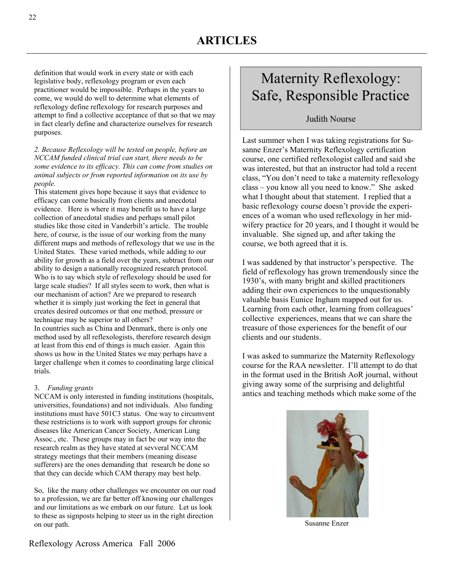definition that would work in every state or with each legislative body, reflexology program or even each practitioner would be impossible. Perhaps in the years to come, we would do well to determine what elements of reflexology define reflexology for research purposes and attempt to find a collective acceptance of that so that we may in fact clearly define and characterize ourselves for research purposes.

### *2. Because Reflexology will be tested on people, before an NCCAM funded clinical trial can start, there needs to be some evidence to its efficacy. This can come from studies on animal subjects or from reported information on its use by people.*

This statement gives hope because it says that evidence to efficacy can come basically from clients and anecdotal evidence. Here is where it may benefit us to have a large collection of anecdotal studies and perhaps small pilot studies like those cited in Vanderbilt's article. The trouble here, of course, is the issue of our working from the many different maps and methods of reflexology that we use in the United States. These varied methods, while adding to our ability for growth as a field over the years, subtract from our ability to design a nationally recognized research protocol. Who is to say which style of reflexology should be used for large scale studies? If all styles seem to work, then what is our mechanism of action? Are we prepared to research whether it is simply just working the feet in general that creates desired outcomes or that one method, pressure or technique may be superior to all others? In countries such as China and Denmark, there is only one method used by all reflexologists, therefore research design at least from this end of things is much easier. Again this shows us how in the United States we may perhaps have a larger challenge when it comes to coordinating large clinical trials.

### 3. *Funding grants*

NCCAM is only interested in funding institutions (hospitals, universities, foundations) and not individuals. Also funding institutions must have 501C3 status. One way to circumvent these restrictions is to work with support groups for chronic diseases like American Cancer Society, American Lung Assoc., etc. These groups may in fact be our way into the research realm as they have stated at sevveral NCCAM strategy meetings that their members (meaning disease sufferers) are the ones demanding that research be done so that they can decide which CAM therapy may best help.

So, like the many other challenges we encounter on our road to a profession, we are far better off knowing our challenges and our limitations as we embark on our future. Let us look to these as signposts helping to steer us in the right direction on our path. Susanne Enzer

# Maternity Reflexology: Safe, Responsible Practice

## Judith Nourse

Last summer when I was taking registrations for Susanne Enzer's Maternity Reflexology certification course, one certified reflexologist called and said she was interested, but that an instructor had told a recent class, "You don't need to take a maternity reflexology class – you know all you need to know." She asked what I thought about that statement. I replied that a basic reflexology course doesn't provide the experiences of a woman who used reflexology in her midwifery practice for 20 years, and I thought it would be invaluable. She signed up, and after taking the course, we both agreed that it is.

I was saddened by that instructor's perspective. The field of reflexology has grown tremendously since the 1930's, with many bright and skilled practitioners adding their own experiences to the unquestionably valuable basis Eunice Ingham mapped out for us. Learning from each other, learning from colleagues' collective experiences, means that we can share the treasure of those experiences for the benefit of our clients and our students.

I was asked to summarize the Maternity Reflexology course for the RAA newsletter. I'll attempt to do that in the format used in the British AoR journal, without giving away some of the surprising and delightful antics and teaching methods which make some of the

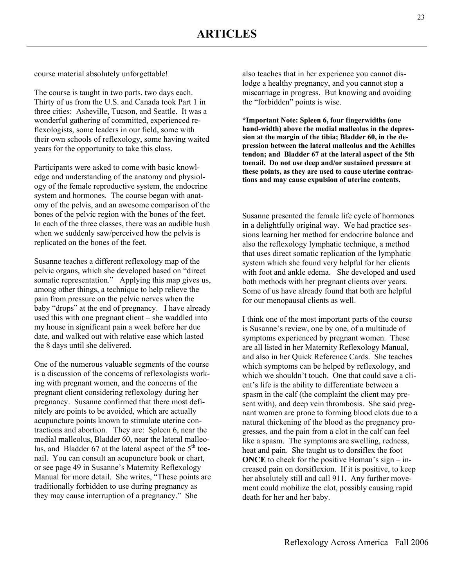course material absolutely unforgettable!

The course is taught in two parts, two days each. Thirty of us from the U.S. and Canada took Part 1 in three cities: Asheville, Tucson, and Seattle. It was a wonderful gathering of committed, experienced reflexologists, some leaders in our field, some with their own schools of reflexology, some having waited years for the opportunity to take this class.

Participants were asked to come with basic knowledge and understanding of the anatomy and physiology of the female reproductive system, the endocrine system and hormones. The course began with anatomy of the pelvis, and an awesome comparison of the bones of the pelvic region with the bones of the feet. In each of the three classes, there was an audible hush when we suddenly saw/perceived how the pelvis is replicated on the bones of the feet.

Susanne teaches a different reflexology map of the pelvic organs, which she developed based on "direct somatic representation." Applying this map gives us, among other things, a technique to help relieve the pain from pressure on the pelvic nerves when the baby "drops" at the end of pregnancy. I have already used this with one pregnant client – she waddled into my house in significant pain a week before her due date, and walked out with relative ease which lasted the 8 days until she delivered.

One of the numerous valuable segments of the course is a discussion of the concerns of reflexologists working with pregnant women, and the concerns of the pregnant client considering reflexology during her pregnancy. Susanne confirmed that there most definitely are points to be avoided, which are actually acupuncture points known to stimulate uterine contractions and abortion. They are: Spleen 6, near the medial malleolus, Bladder 60, near the lateral malleolus, and Bladder  $67$  at the lateral aspect of the  $5<sup>th</sup>$  toenail. You can consult an acupuncture book or chart, or see page 49 in Susanne's Maternity Reflexology Manual for more detail. She writes, "These points are traditionally forbidden to use during pregnancy as they may cause interruption of a pregnancy." She

also teaches that in her experience you cannot dislodge a healthy pregnancy, and you cannot stop a miscarriage in progress. But knowing and avoiding the "forbidden" points is wise.

**\*Important Note: Spleen 6, four fingerwidths (one hand-width) above the medial malleolus in the depression at the margin of the tibia; Bladder 60, in the depression between the lateral malleolus and the Achilles tendon; and Bladder 67 at the lateral aspect of the 5th toenail. Do not use deep and/or sustained pressure at these points, as they are used to cause uterine contractions and may cause expulsion of uterine contents.** 

Susanne presented the female life cycle of hormones in a delightfully original way. We had practice sessions learning her method for endocrine balance and also the reflexology lymphatic technique, a method that uses direct somatic replication of the lymphatic system which she found very helpful for her clients with foot and ankle edema. She developed and used both methods with her pregnant clients over years. Some of us have already found that both are helpful for our menopausal clients as well.

I think one of the most important parts of the course is Susanne's review, one by one, of a multitude of symptoms experienced by pregnant women. These are all listed in her Maternity Reflexology Manual, and also in her Quick Reference Cards. She teaches which symptoms can be helped by reflexology, and which we shouldn't touch. One that could save a client's life is the ability to differentiate between a spasm in the calf (the complaint the client may present with), and deep vein thrombosis. She said pregnant women are prone to forming blood clots due to a natural thickening of the blood as the pregnancy progresses, and the pain from a clot in the calf can feel like a spasm. The symptoms are swelling, redness, heat and pain. She taught us to dorsiflex the foot **ONCE** to check for the positive Homan's sign – increased pain on dorsiflexion. If it is positive, to keep her absolutely still and call 911. Any further movement could mobilize the clot, possibly causing rapid death for her and her baby.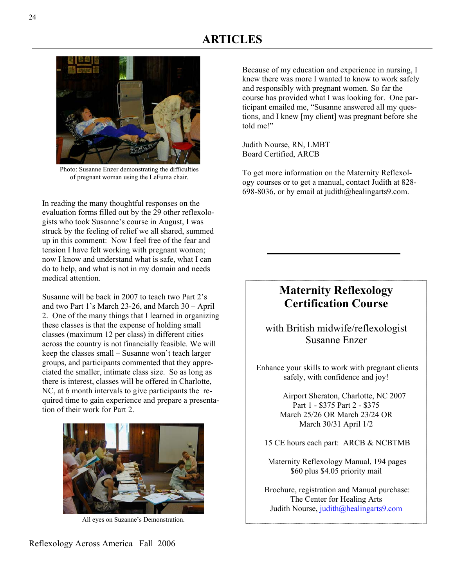

Photo: Susanne Enzer demonstrating the difficulties of pregnant woman using the LeFuma chair.

In reading the many thoughtful responses on the evaluation forms filled out by the 29 other reflexologists who took Susanne's course in August, I was struck by the feeling of relief we all shared, summed up in this comment: Now I feel free of the fear and tension I have felt working with pregnant women; now I know and understand what is safe, what I can do to help, and what is not in my domain and needs medical attention.

Susanne will be back in 2007 to teach two Part 2's and two Part 1's March 23-26, and March 30 – April 2. One of the many things that I learned in organizing these classes is that the expense of holding small classes (maximum 12 per class) in different cities across the country is not financially feasible. We will keep the classes small – Susanne won't teach larger groups, and participants commented that they appreciated the smaller, intimate class size. So as long as there is interest, classes will be offered in Charlotte, NC, at 6 month intervals to give participants the required time to gain experience and prepare a presentation of their work for Part 2.



All eyes on Suzanne's Demonstration.

Because of my education and experience in nursing, I knew there was more I wanted to know to work safely and responsibly with pregnant women. So far the course has provided what I was looking for. One participant emailed me, "Susanne answered all my questions, and I knew [my client] was pregnant before she told me!"

Judith Nourse, RN, LMBT Board Certified, ARCB

To get more information on the Maternity Reflexology courses or to get a manual, contact Judith at 828- 698-8036, or by email at judith@healingarts9.com.

## **Maternity Reflexology Certification Course**

with British midwife/reflexologist Susanne Enzer

 Enhance your skills to work with pregnant clients safely, with confidence and joy!

> Airport Sheraton, Charlotte, NC 2007 Part 1 - \$375 Part 2 - \$375 March 25/26 OR March 23/24 OR March 30/31 April 1/2

15 CE hours each part: ARCB & NCBTMB

 Maternity Reflexology Manual, 194 pages \$60 plus \$4.05 priority mail

 Brochure, registration and Manual purchase: The Center for Healing Arts Judith Nourse, judith@healingarts9.com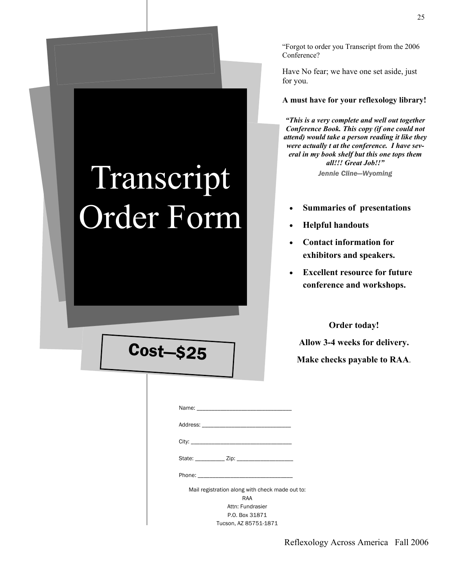**Order today!** 

**Allow 3-4 weeks for delivery. Make checks payable to RAA**.

### "Forgot to order you Transcript from the 2006 Conference?

Have No fear; we have one set aside, just for you.

### **A must have for your reflexology library!**

*"This is a very complete and well out together Conference Book. This copy (if one could not attend) would take a person reading it like they were actually t at the conference. I have several in my book shelf but this one tops them all!!! Great Job!!" Jennie Cline—Wyoming* 

- **Summaries of presentations**
- **Helpful handouts**
- **Contact information for exhibitors and speakers.**
- **Excellent resource for future conference and workshops.**

| Phone: The contract of the contract of the contract of the contract of the contract of the contract of the contract of the contract of the contract of the contract of the contract of the contract of the contract of the con |  |
|--------------------------------------------------------------------------------------------------------------------------------------------------------------------------------------------------------------------------------|--|
| Mail registration along with check made out to:                                                                                                                                                                                |  |
| RAA                                                                                                                                                                                                                            |  |
| Attn: Fundrasier                                                                                                                                                                                                               |  |
| P.O. Box 31871                                                                                                                                                                                                                 |  |

Tucson, AZ 85751-1871

# Cost—\$25

Transcript

Order Form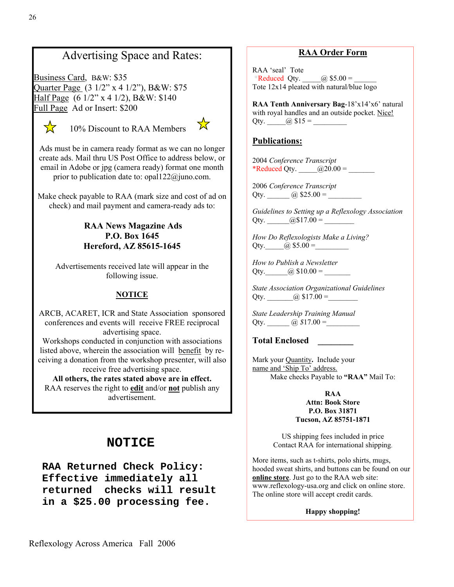## Advertising Space and Rates:

Business Card, B&W: \$35 Quarter Page (3 1/2" x 4 1/2"), B&W: \$75 Half Page (6 1/2" x 4 1/2), B&W: \$140 Full Page Ad or Insert: \$200



10% Discount to RAA Members



Ads must be in camera ready format as we can no longer create ads. Mail thru US Post Office to address below, or email in Adobe or jpg (camera ready) format one month prior to publication date to: opal122@juno.com.

Make check payable to RAA (mark size and cost of ad on check) and mail payment and camera-ready ads to:

## **RAA News Magazine Ads P.O. Box 1645 Hereford, AZ 85615-1645**

Advertisements received late will appear in the following issue.

### **NOTICE**

ARCB, ACARET, ICR and State Association sponsored conferences and events will receive FREE reciprocal advertising space.

Workshops conducted in conjunction with associations listed above, wherein the association will benefit by receiving a donation from the workshop presenter, will also receive free advertising space.

**All others, the rates stated above are in effect.** RAA reserves the right to **edit** and/or **not** publish any advertisement.

## **NOTICE**

**RAA Returned Check Policy: Effective immediately all returned checks will result in a \$25.00 processing fee.** 

## **RAA Order Form**

RAA 'seal' Tote \*Reduced Qty. \_\_\_\_\_@ \$5.00 = Tote 12x14 pleated with natural/blue logo

**RAA Tenth Anniversary Bag**-18'x14'x6' natural with royal handles and an outside pocket. Nice! Qty.  $\qquad \qquad (\partial)$  \$15 =

## **Publications:**

2004 *Conference Transcript* \*Reduced Qty.  $\qquad \qquad \textcircled{20.00} = \qquad \qquad$ 

2006 *Conference Transcript* Qty. \_\_\_\_\_\_ @ \$25.00 = \_\_\_\_\_\_\_\_\_

*Guidelines to Setting up a Reflexology Association*  Qty.  $@$17.00 =$ 

*How Do Reflexologists Make a Living?*  Qty.  $(a)$  \$5.00 =

*How to Publish a Newsletter*  Qty.  $\qquad \qquad (\partial) \$10.00 =$ 

*State Association Organizational Guidelines*  Qty.  $\qquad \qquad (\partial) \$17.00 =$ 

*State Leadership Training Manual*  Qty.  $\omega \, \$17.00 =$ 

**Total Enclosed \_\_\_\_\_\_\_\_** 

Mark your Quantity**.** Include your name and 'Ship To' address. Make checks Payable to **"RAA"** Mail To:

### **RAA Attn: Book Store P.O. Box 31871 Tucson, AZ 85751-1871**

US shipping fees included in price Contact RAA for international shipping.

More items, such as t-shirts, polo shirts, mugs, hooded sweat shirts, and buttons can be found on our **online store**. Just go to the RAA web site: www.reflexology-usa.org and click on online store. The online store will accept credit cards.

**Happy shopping!**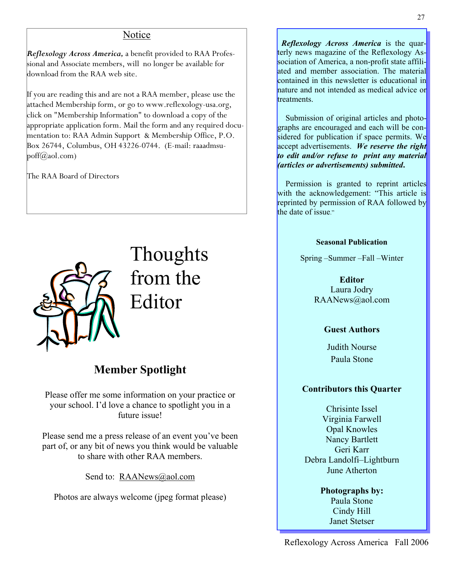## Notice

*Reflexology Across America,* a benefit provided to RAA Professional and Associate members, will no longer be available for download from the RAA web site.

If you are reading this and are not a RAA member, please use the attached Membership form, or go to www.reflexology-usa.org, click on "Membership Information" to download a copy of the appropriate application form. Mail the form and any required documentation to: RAA Admin Support & Membership Office, P.O. Box 26744, Columbus, OH 43226-0744. (E-mail: raaadmsupoff $(\partial_{\alpha}$ aol.com)

The RAA Board of Directors



Thoughts from the Editor

## **Member Spotlight**

Please offer me some information on your practice or your school. I'd love a chance to spotlight you in a future issue!

Please send me a press release of an event you've been part of, or any bit of news you think would be valuable to share with other RAA members.

Send to: RAANews@aol.com

Photos are always welcome (jpeg format please)

 *Reflexology Across America* is the quarterly news magazine of the Reflexology Association of America, a non-profit state affiliated and member association. The material contained in this newsletter is educational in nature and not intended as medical advice or treatments.

 Submission of original articles and photographs are encouraged and each will be considered for publication if space permits. We accept advertisements. *We reserve the right to edit and/or refuse to print any material (articles or advertisements) submitted***.** 

 Permission is granted to reprint articles with the acknowledgement: "This article is reprinted by permission of RAA followed by the date of issue."

### **Seasonal Publication**

Spring –Summer –Fall –Winter

**Editor**  Laura Jodry RAANews@aol.com

### **Guest Authors**

Judith Nourse Paula Stone

## **Contributors this Quarter**

Chrisinte Issel Virginia Farwell Opal Knowles Nancy Bartlett Geri Karr Debra Landolfi–Lightburn June Atherton

> **Photographs by:**  Paula Stone Cindy Hill Janet Stetser

Reflexology Across America Fall 2006